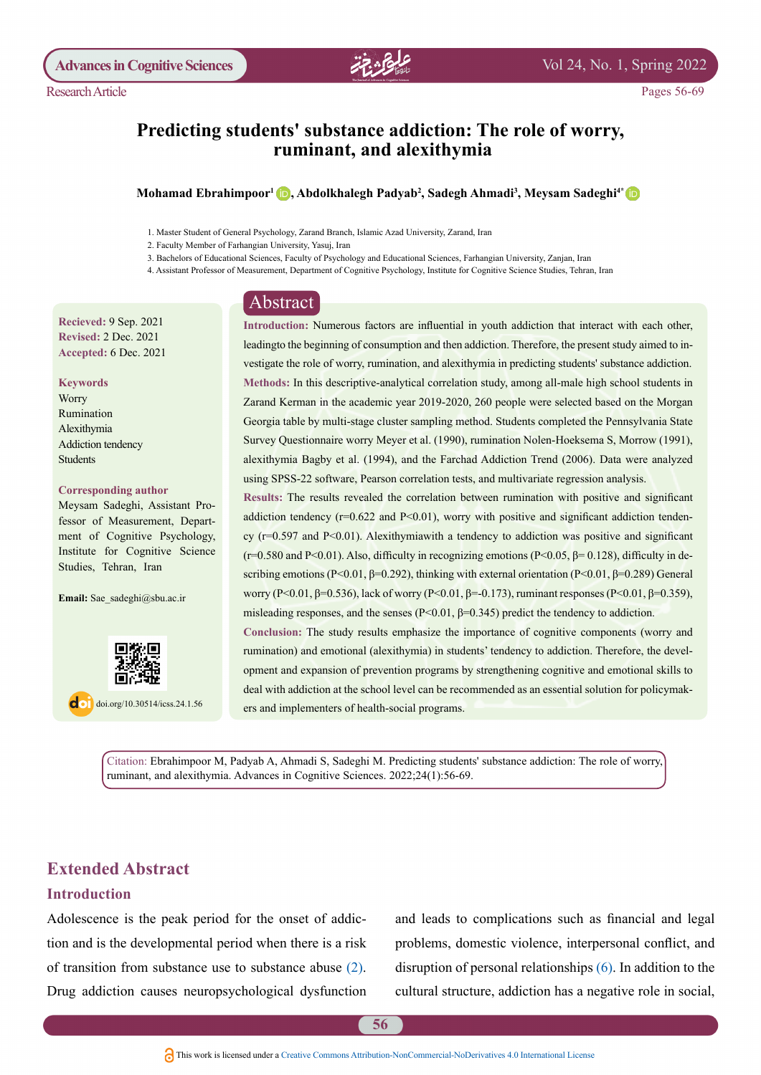

# Predicting students' substance addiction: The role of worry, ruminant, and alexithymia

### $\bm{\Lambda}$ Ohamad Ebrahimpoor<sup>1</sup> (D), Abdolkhalegh Padyab<sup>2</sup>, Sadegh Ahmadi<sup>3</sup>, Meysam Sadeghi<sup>4</sup>

3. Bachelors of Educational Sciences, Faculty of Psychology and Educational Sciences, Farhangian University, Zanjan, Iran

4. Assistant Professor of Measurement, Department of Cognitive Psychology, Institute for Cognitive Science Studies, Tehran, Iran

## Abstract

**Recieved: 9 Sep. 2021 Revised: 2 Dec. 2021** Accepted: 6 Dec. 2021

 **Keywords**

**Worry** Rumination Alexithymia Addiction tendency Students

### **Corresponding author**

fessor of Measurement, Depart-<br>ment of Cognitive Psychology, Meysam Sadeghi, Assistant Pro-<br>fessor of Measurement, Depart-Meysam Sadeghi, Assistant Pro-Institute for Cognitive Science Studies, Tehran, Iran

Email: Sae sadeghi@sbu.ac.ir



 $\log$  doi.org/10.30514/icss.24.1.56

Introduction: Numerous factors are influential in youth addiction that interact with each other, vestigate the role of worry, rumination, and alexithymia in predicting students' substance addiction. leading to the beginning of consumption and then addiction. Therefore, the present study aimed to in-Methods: In this descriptive-analytical correlation study, among all-male high school students in Zarand Kerman in the academic year 2019-2020, 260 people were selected based on the Morgan Georgia table by multi-stage cluster sampling method. Students completed the Pennsylvania State Survey Questionnaire worry Meyer et al. (1990), rumination Nolen-Hoeksema S, Morrow (1991), alexithymia Bagby et al. (1994), and the Farchad Addiction Trend (2006). Data were analyzed using SPSS-22 software, Pearson correlation tests, and multivariate regression analysis.

Results: The results revealed the correlation between rumination with positive and significant cy ( $r=0.597$  and P<0.01). Alexithymiawith a tendency to addiction was positive and significant addiction tendency  $(r=0.622$  and  $P<0.01$ ), worry with positive and significant addiction tendenscribing emotions (P<0.01,  $\beta$ =0.292), thinking with external orientation (P<0.01,  $\beta$ =0.289) General  $(r=0.580$  and P<0.01). Also, difficulty in recognizing emotions  $(P< 0.05, \beta = 0.128)$ , difficulty in deworry (P<0.01, β=0.536), lack of worry (P<0.01, β=-0.173), ruminant responses (P<0.01, β=0.359), misleading responses, and the senses ( $P< 0.01$ ,  $\beta = 0.345$ ) predict the tendency to addiction.

Conclusion: The study results emphasize the importance of cognitive components (worry and opment and expansion of prevention programs by strengthening cognitive and emotional skills to rumination) and emotional (alexithymia) in students' tendency to addiction. Therefore, the develdeal with addiction at the school level can be recommended as an essential solution for policymakers and implementers of health-social programs.

Citation: Ebrahimpoor M, Padyab A, Ahmadi S, Sadeghi M. Predicting students' substance addiction: The role of worry, ruminant, and alexithymia. Advances in Cognitive Sciences. 2022;24(1):56-69.

# **Extended Abstract**

### **Introduction**

Adolescence is the peak period for the onset of addiction and is the developmental period when there is a risk of transition from substance use to substance abuse  $(2)$  $(2)$  $(2)$ . Drug addiction causes neuropsychological dysfunction

and leads to complications such as financial and legal problems, domestic violence, interpersonal conflict, and disruption of personal relationships  $(6)$ . In addition to the cultural structure, addiction has a negative role in social,

<sup>1.</sup> Master Student of General Psychology, Zarand Branch, Islamic Azad University, Zarand, Iran

<sup>2.</sup> Faculty Member of Farhangian University, Yasuj, Iran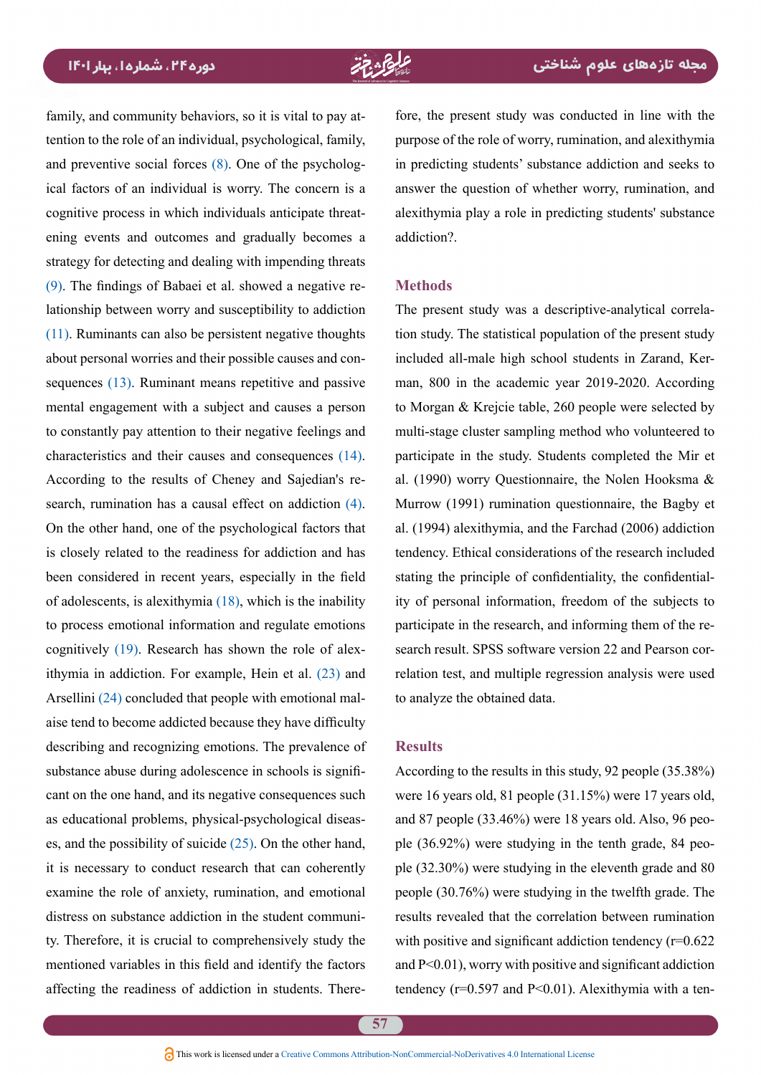family, and community behaviors, so it is vital to pay attention to the role of an individual, psychological, family, ical factors of an individual is worry. The concern is a and preventive social forces  $(8)$ . One of the psychologening events and outcomes and gradually becomes a cognitive process in which individuals anticipate threatstrategy for detecting and dealing with impending threats lationship between worry and susceptibility to addiction  $(9)$  $(9)$  $(9)$ . The findings of Babaei et al. showed a negative re- $(11)$  $(11)$  $(11)$ . Ruminants can also be persistent negative thoughts sequences  $(13)$  $(13)$  $(13)$ . Ruminant means repetitive and passive about personal worries and their possible causes and conmental engagement with a subject and causes a person to constantly pay attention to their negative feelings and characteristics and their causes and consequences  $(14)$  $(14)$ . search, rumination has a causal effect on addiction  $(4)$ . According to the results of Cheney and Sajedian's re-On the other hand, one of the psychological factors that is closely related to the readiness for addiction and has been considered in recent years, especially in the field of adolescents, is alexithymia  $(18)$ , which is the inability to process emotional information and regulate emotions ithymia in addiction. For example, Hein et al.  $(23)$  $(23)$  $(23)$  and cognitively  $(19)$  $(19)$  $(19)$ . Research has shown the role of alexaise tend to become addicted because they have difficulty Arsellini  $(24)$  $(24)$  concluded that people with emotional maldescribing and recognizing emotions. The prevalence of cant on the one hand, and its negative consequences such substance abuse during adolescence in schools is signifies, and the possibility of suicide  $(25)$ . On the other hand, as educational problems, physical-psychological diseasit is necessary to conduct research that can coherently examine the role of anxiety, rumination, and emotional ty. Therefore, it is crucial to comprehensively study the distress on substance addiction in the student communimentioned variables in this field and identify the factors affecting the readiness of addiction in students. There-

fore, the present study was conducted in line with the purpose of the role of worry, rumination, and alexithymia in predicting students' substance addiction and seeks to answer the question of whether worry, rumination, and alexithymia play a role in predicting students' substance addiction?

### **Methods**

tion study. The statistical population of the present study The present study was a descriptive-analytical correlaman, 800 in the academic year 2019-2020. According included all-male high school students in Zarand, Kerto Morgan  $&$  Krejcie table, 260 people were selected by multi-stage cluster sampling method who volunteered to participate in the study. Students completed the Mir et al. (1990) worry Questionnaire, the Nolen Hooksma  $\&$ Murrow (1991) rumination questionnaire, the Bagby et al.  $(1994)$  alexithymia, and the Farchad  $(2006)$  addiction tendency. Ethical considerations of the research included ity of personal information, freedom of the subjects to stating the principle of confidentiality, the confidentialrelation test, and multiple regression analysis were used search result. SPSS software version 22 and Pearson corparticipate in the research, and informing them of the reto analyze the obtained data.

### **Results**

According to the results in this study, 92 people  $(35.38\%)$ were 16 years old, 81 people  $(31.15%)$  were 17 years old, ple  $(32.30\%)$  were studying in the eleventh grade and 80 ple  $(36.92\%)$  were studying in the tenth grade, 84 peoand 87 people  $(33.46\%)$  were 18 years old. Also, 96 peopeople  $(30.76\%)$  were studying in the twelfth grade. The results revealed that the correlation between rumination with positive and significant addiction tendency  $(r=0.622)$ and  $P<0.01$ ), worry with positive and significant addiction tendency ( $r=0.597$  and  $P<0.01$ ). Alexithymia with a ten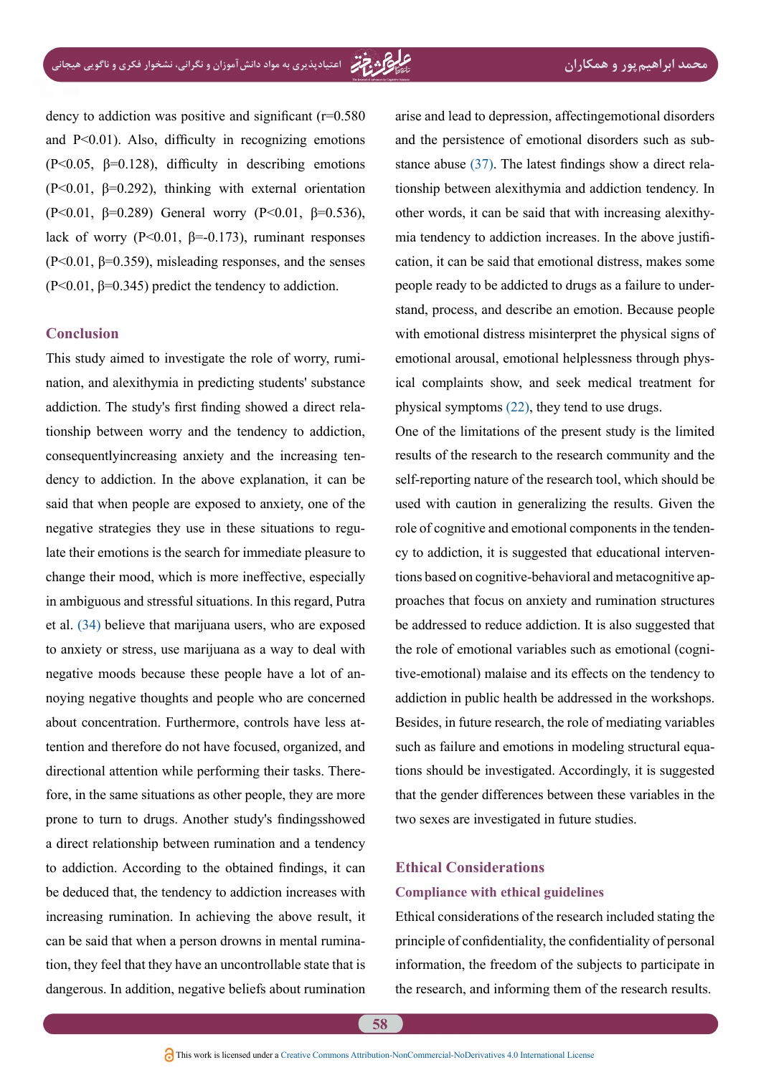dency to addiction was positive and significant  $(r=0.580)$ and  $P<0.01$ ). Also, difficulty in recognizing emotions  $(P<0.05, \beta=0.128)$ , difficulty in describing emotions  $(P<0.01, \beta=0.292)$ , thinking with external orientation (P<0.01,  $\beta$ =0.289) General worry (P<0.01,  $\beta$ =0.536), lack of worry ( $P<0.01$ ,  $\beta=-0.173$ ), ruminant responses  $(P<0.01, \beta=0.359)$ , misleading responses, and the senses  $(P<0.01, \beta=0.345)$  predict the tendency to addiction.

### **Conclusion**

nation, and alexithymia in predicting students' substance This study aimed to investigate the role of worry, rumitionship between worry and the tendency to addiction, addiction. The study's first finding showed a direct reladency to addiction. In the above explanation, it can be consequently increasing anxiety and the increasing tensaid that when people are exposed to anxiety, one of the late their emotions is the search for immediate pleasure to negative strategies they use in these situations to reguchange their mood, which is more ineffective, especially in ambiguous and stressful situations. In this regard, Putra et al. ([34](#page-13-0)) believe that marijuana users, who are exposed to anxiety or stress, use marijuana as a way to deal with negative moods because these people have a lot of an-<br>noying negative thoughts and people who are concerned tention and therefore do not have focused, organized, and about concentration. Furthermore, controls have less atfore, in the same situations as other people, they are more directional attention while performing their tasks. Thereprone to turn to drugs. Another study's findings showed a direct relationship between rumination and a tendency to addiction. According to the obtained findings, it can be deduced that, the tendency to addiction increases with increasing rumination. In achieving the above result, it can be said that when a person drowns in mental rumination, they feel that they have an uncontrollable state that is dangerous. In addition, negative beliefs about rumination arise and lead to depression, affectingemotional disorders tionship between alexithymia and addiction tendency. In stance abuse  $(37)$  $(37)$  $(37)$ . The latest findings show a direct relaand the persistence of emotional disorders such as subcation, it can be said that emotional distress, makes some mia tendency to addiction increases. In the above justifiother words, it can be said that with increasing alexithystand, process, and describe an emotion. Because people people ready to be addicted to drugs as a failure to underwith emotional distress misinterpret the physical signs of ical complaints show, and seek medical treatment for emotional arousal, emotional helplessness through physphysical symptoms  $(22)$ , they tend to use drugs.

One of the limitations of the present study is the limited results of the research to the research community and the self-reporting nature of the research tool, which should be used with caution in generalizing the results. Given the proaches that focus on anxiety and rumination structures tions based on cognitive-behavioral and metacognitive apcy to addiction, it is suggested that educational intervenrole of cognitive and emotional components in the tendenbe addressed to reduce addiction. It is also suggested that tive-emotional) malaise and its effects on the tendency to the role of emotional variables such as emotional (cogniaddiction in public health be addressed in the workshops. Besides, in future research, the role of mediating variables tions should be investigated. Accordingly, it is suggested such as failure and emotions in modeling structural equathat the gender differences between these variables in the two sexes are investigated in future studies.

# **Ethical Considerations Compliance with ethical guidelines**

Ethical considerations of the research included stating the principle of confidentiality, the confidentiality of personal information, the freedom of the subjects to participate in the research, and informing them of the research results.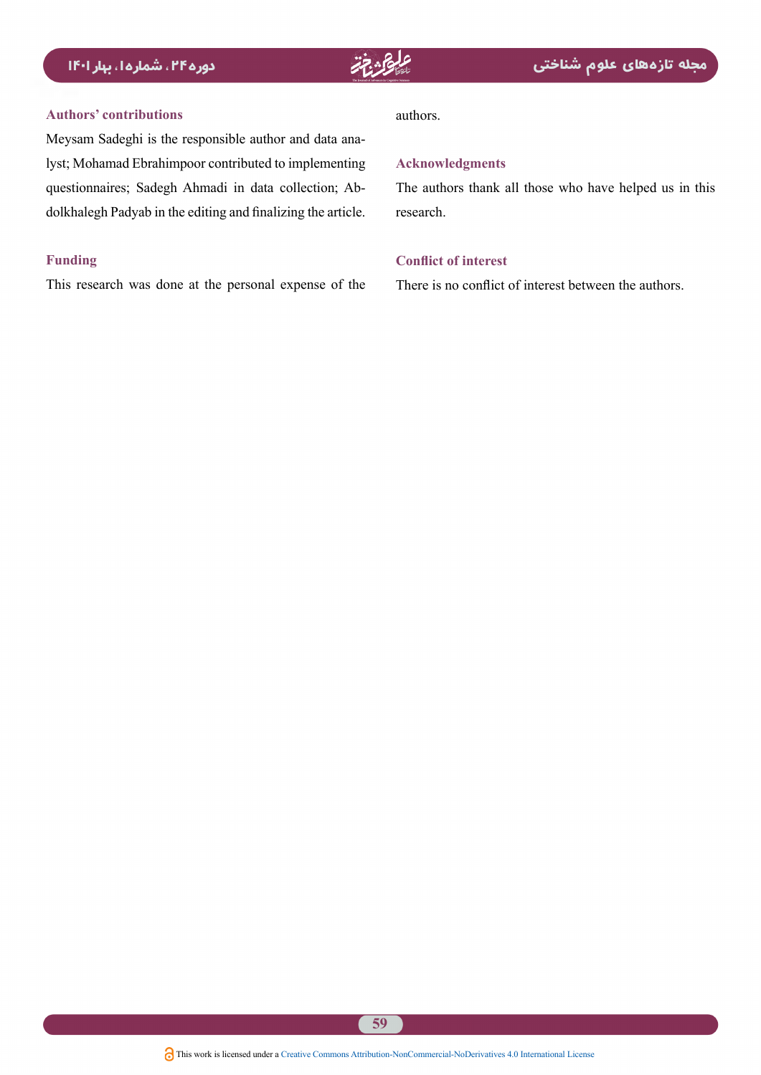

### **contributions' Authors**

lyst; Mohamad Ebrahimpoor contributed to implementing Meysam Sadeghi is the responsible author and data anadolkhalegh Padyab in the editing and finalizing the article. questionnaires; Sadegh Ahmadi in data collection; Ab-

### **Funding**

This research was done at the personal expense of the

### .authors

### **Acknowledgments**

The authors thank all those who have helped us in this .research

### **Conflict of interest**

There is no conflict of interest between the authors.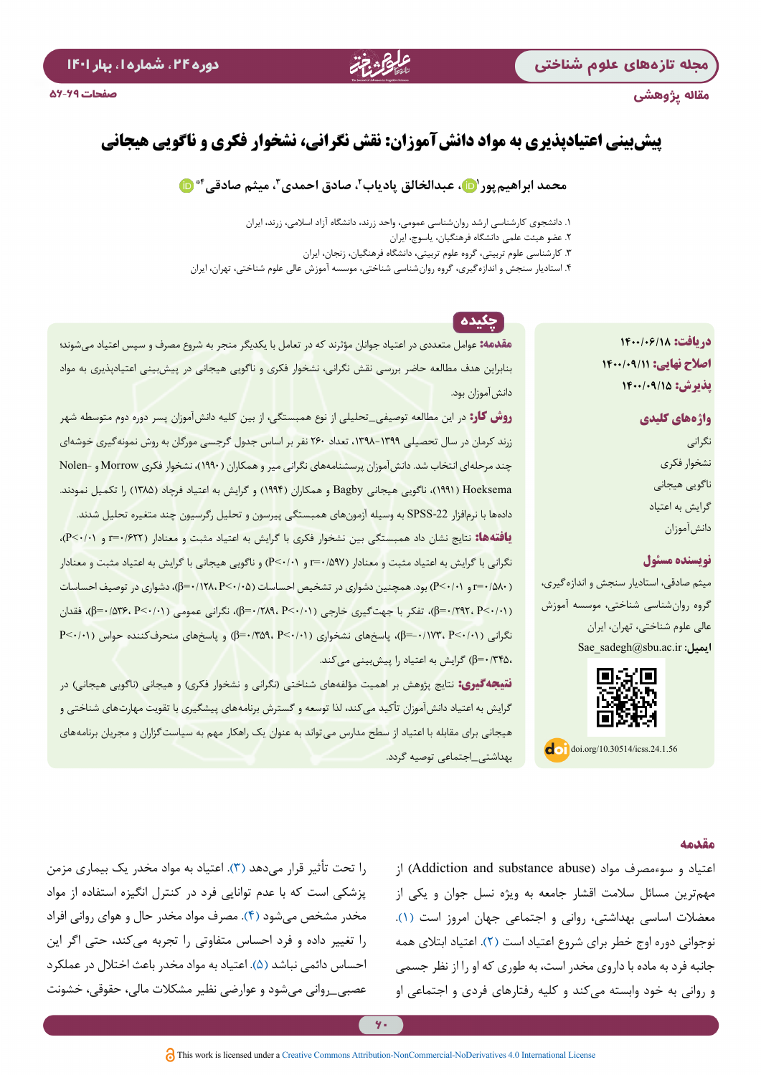### مقاله پژوهشی

# **پیشبینی اعتیادپذیری به مواد دانشآموزان: نقش نگرانی، نشخوار فکری و ناگویی هیجانی**

27. 26.

# **4[\\*](http://orcid.org/0000-0002-5406-4574) ،3 میثم صادقی ،2 صادق احمدی [1 ،](http://orcid.org/0000-0002-1953-2555) عبدالخالق پادیاب محمد ابراهیمپور**

.1 دانشجوی کارشناسی ارشد روانشناسی عمومی، واحد زرند، دانشگاه آزاد اسالمی، زرند، ایران

.2 عضو هیئت علمی دانشگاه فرهنگیان، یاسوج، ایران

.3 کارشناسی علوم تربیتی، گروه علوم تربیتی، دانشگاه فرهنگیان، زنجان، ایران

.4 استادیار سنجش و اندازهگیری، گروه روانشناسی شناختی، موسسه آموزش عالی علوم شناختی، تهران، ایران

**دریافت: 1400/06/18 اصالح نهایی: 1400/09/11 پذیرش: 1400/09/15**

> **واژههای کلیدی** نگرانی نشخوار فکری ناگویی هیجانی گرایش به اعتیاد دانشآموزان

## **نویسنده مسئول**

میثم صادقی، استادیار سنجش و اندازهگیری، گروه روانشناسی شناختی، موسسه آموزش عالی علوم شناختی، تهران، ایران **ایمیل:** ir.ac.sbu@sadegh\_Sae



 $\log$  doi.org/10.30514/icss.24.1.56

# چکیده

**مقدمه:** عوامل متعددی در اعتیاد جوانان مؤثرند که در تعامل با یکدیگر منجر به شروع مصرف و سپس اعتیاد میشوند؛ بنابراین هدف مطالعه حاضر بررسی نقش نگرانی، نشخوار فکری و ناگویی هیجانی در پیشبینی اعتیادپذیری به مواد دانشآموزان بود.

**روش کار:** در این مطالعه توصیفی\_تحلیلی از نوع همبستگی، از بین کلیه دانشآموزان پسر دوره دوم متوسطه شهر زرند کرمان در سال تحصیلی ،1398-1399 تعداد 260 نفر بر اساس جدول گرجسی مورگان به روش نمونهگیری خوشهای چند مرحلهای انتخاب شد. دانشآموزان پرسشنامههای نگرانی میر و همکاران )1990(، نشخوار فکری Morrow و -Nolen Hoeksema ( ۱۹۹۱)، ناگویی هیجانی Bagby و همکاران (۱۹۹۴) و گرایش به اعتیاد فرچاد (۱۳۸۵) را تکمیل نمودند. دادهها با نرمافزار -22SPSS به وسیله آزمونهای همبستگی پیرسون و تحلیل رگرسیون چند متغیره تحلیل شدند. **یافتهها:** نتایج نشان داد همبستگی بین نشخوار فکری با گرایش به اعتیاد مثبت و معنادار )0/622=r و 0/01<P)، نگرانی با گرایش به اعتیاد مثبت و معنادار )0/597=r و 0/01<P )و ناگویی هیجانی با گرایش به اعتیاد مثبت و معنادار )0/580=r و 0/01<P )بود. همچنین دشواری در تشخیص احساسات )0/05<P 0/128،=β)، دشواری در توصیف احساسات

)0/01<P 0/292،=β)، تفکر با جهتگیری خارجی )0/01<P 0/289،=β)، نگرانی عمومی )0/01<P 0/536،=β)، فقدان نگرانی )0/01<P -0/173،=β)، پاسخهای نشخواری )0/01<P 0/359،=β )و پاسخهای منحرفکننده حواس )0/01<P 0/345،=β )گرایش به اعتیاد را پیشبینی ميکند.

**نتیجه گیری:** نتایج پژوهش بر اهمیت مؤلفههای شناختی (نگرانی و نشخوار فکری) و هیجانی (ناگویی هیجانی) در گرایش به اعتیاد دانشآموزان تأکید میکند، لذا توسعه و گسترش برنامههای پیشگیری با تقویت مهارتهای شناختی و هیجانی برای مقابله با اعتیاد از سطح مدارس میتواند به عنوان یک راهکار مهم به سیاستگزاران و مجریان برنامههای بهداشتی\_اجتماعی توصیه گردد.

### **مقدمه**

اعتیاد و سوءمصرف مواد )abuse substance and Addiction )از مهمترین مسائل سالمت اقشار جامعه به ویژه نسل جوان و یکی از معضالت اساسی بهداشتی، روانی و اجتماعی جهان امروز است )[1](#page-11-4)(. نوجوانی دوره اوج خطر برای شروع اعتیاد است (۲). اعتیاد ابتلای همه جانبه فرد به ماده با داروی مخدر است، به طوری که او را از نظر جسمی و روانی به خود وابسته میکند و کلیه رفتارهای فردی و اجتماعی او

را تحت تأثیر قرار میدهد )[3](#page-11-5)(. اعتیاد به مواد مخدر یک بیماری مزمن پزشکی است که با عدم توانایی فرد در کنترل انگیزه استفاده از مواد مخدر مشخص میشود )[4](#page-11-3)(. مصرف مواد مخدر حال و هوای روانی افراد را تغییر داده و فرد احساس متفاوتی را تجربه میکند، حتی اگر این احساس دائمی نباشد (۵). اعتیاد به مواد مخدر باعث اختلال در عملکرد عصبی\_روانی میشود و عوارضی نظیر مشکالت مالی، حقوقی، خشونت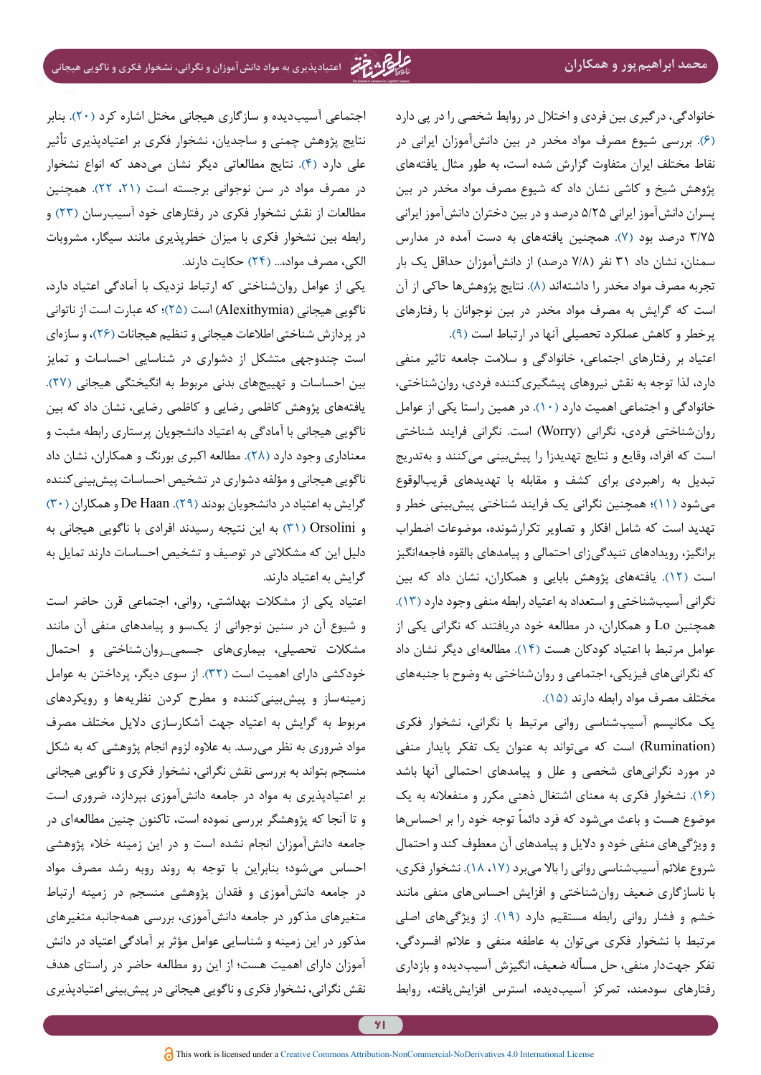خانوادگی، درگیری بین فردی و اختالل در روابط شخصی را در پی دارد [\)6](#page-11-1)(. بررسي شيوع مصرف مواد مخدر در بين دانشآموزان ايراني در نقاط مختلف ایران متفاوت گزارش شده است، به طور مثال يافتههای پژوهش شیخ و کاشی نشان داد که شيوع مصرف مواد مخدر در بين پسران دانشآموز ايراني 5/25 درصد و در بين دختران دانشآموز ايراني 3/75 درصد بود [\)7\(](#page-11-7). همچنین یافتههای به دست آمده در مدارس سمنان، نشان داد ۳۱ نفر (۷/۸ درصد) از دانشآموزان حداقل یک بار تجربه مصرف مواد مخدر را داشتهاند (۸). نتایج پژوهشها حاکی از آن است که گرایش به مصرف مواد مخدر در بین نوجوانان با رفتارهای پرخطر و کاهش عملکرد تحصیلی آنها در ارتباط است )[9](#page-12-0)(.

اعتياد بر رفتارهای اجتماعی، خانوادگی و سالمت جامعه تاثیر منفی دارد، لذا توجه به نقش نیروهای پیشگیریکننده فردی، روانشناختی، خانوادگی و اجتماعی اهمیت دارد )[10\(](#page-12-10). در همین راستا یکی از عوامل روانشناختی فردی، نگرانی )Worry )است. نگرانی فرایند شناختی است که افراد، وقایع و نتایج تهدیدزا را پیشبینی میکنند و بهتدریج تبدیل به راهبردی برای کشف و مقابله با تهدیدهای قریبالوقوع میشود [\)11\(](#page-12-1)؛ همچنین نگرانی یک فرایند شناختی پیشبینی خطر و تهدید است که شامل افکار و تصاویر تکرارشونده، موضوعات اضطراب برانگیز، رویدادهای تنیدگیزای احتمالی و پیامدهای بالقوه فاجعهانگیز است [\)12\(](#page-12-11). یافتههای پژوهش بابایی و همکاران، نشان داد که بین نگرانی آسیبشناختی و استعداد به اعتیاد رابطه منفی وجود دارد [\)13](#page-12-2)(. همچنین Lo و همکاران، در مطالعه خود دریافتند که نگرانی یکی از عوامل مرتبط با اعتیاد کودکان هست [\)14](#page-12-3)(. مطالعهای دیگر نشان داد که نگرانیهای فیزیکی، اجتماعی و روان شناختی به وضوح با جنبههای مختلف مصرف مواد رابطه دارند [\)15\(](#page-12-12).

یک مکانیسم آسیبشناسی روانی مرتبط با نگرانی، نشخوار فکری )Rumination )است که میتواند به عنوان یک تفکر پایدار منفی در مورد نگرانیهای شخصی و علل و پیامدهای احتمالی آنها باشد [\)16\(](#page-12-13). نشخوار فکری به معنای اشتغال ذهنی مکرر و منفعالنه به یک موضوع هست و باعث میشود که فرد دائماً توجه خود را بر احساسها و ویژگیهای منفی خود و دالیل و پیامدهای آن معطوف کند و احتمال شروع عالئم آسیبشناسی روانی را باال میبرد )،[17](#page-12-14) [18](#page-12-4)(. نشخوار فکری، با ناسازگاری ضعیف روانشناختی و افزایش احساسهای منفی مانند خشم و فشار روانی رابطه مستقیم دارد )[19](#page-12-5)(. از ویژگیهای اصلی مرتبط با نشخوار فکری میتوان به عاطفه منفی و عالئم افسردگی، تفکر جهتدار منفی، حل مسأله ضعیف، انگیزش آسیبدیده و بازداری رفتارهای سودمند، تمرکز آسیبدیده، استرس افزایشیافته، روابط

اجتماعی آسیبدیده و سازگاری هیجانی مختل اشاره کرد [\)20\(](#page-12-15). بنابر نتایج پژوهش چمنی و ساجدیان، نشخوار فکری بر اعتیادپذیری تأثیر علی دارد (۴). نتایج مطالعاتی دیگر نشان میدهد که انواع نشخوار در مصرف مواد در سن نوجوانی برجسته است )،[21](#page-12-16) [22](#page-12-9)(. همچنین مطالعات از نقش نشخوار فکری در رفتارهای خود آسیبرسان )[23\(](#page-12-6) و رابطه بین نشخوار فکری با میزان خطرپذیری مانند سیگار، مشروبات الکی، مصرف مواد...، )[24](#page-12-7)( حکایت دارند.

یکی از عوامل روانشناختی که ارتباط نزدیک با آمادگی اعتیاد دارد، ناگویی هیجانی )Alexithymia )است [\)25](#page-12-8)(؛ که عبارت است از ناتوانی در پردازش شناختی اطالعات هیجانی و تنظیم هیجانات )[26](#page-12-17)(، و سازهای است چندوجهی متشکل از دشواری در شناسایی احساسات و تمایز بین احساسات و تهییجهای بدنی مربوط به انگیختگی هیجانی )[27\(](#page-12-18). یافتههای پژوهش کاظمی رضایی و کاظمی رضایی، نشان داد که بین ناگویی هیجانی با آمادگی به اعتیاد دانشجویان پرستاری رابطه مثبت و معناداری وجود دارد (۲۸). مطالعه اکبری بورنگ و همکاران، نشان داد ناگویی هیجانی و مؤلفه دشواری در تشخیص احساسات پیش بینی کننده گرایش به اعتیاد در دانشجویان بودند (٢٩). De Haan و همکاران (٣٠) و Orsolini( [31](#page-13-3) [\)](#page-13-3)به این نتیجه رسیدند افرادی با ناگویی هیجانی به دلیل این که مشکالتی در توصیف و تشخیص احساسات دارند تمایل به گرایش به اعتیاد دارند.

اعتیاد یکی از مشکالت بهداشتی، روانی، اجتماعی قرن حاضر است و شیوع آن در سنین نوجوانی از یکسو و پیامدهای منفی آن مانند مشکالت تحصیلی، بیماریهای جسمی\_روانشناختی و احتمال خودکشی دارای اهمیت است )[32\(](#page-13-4). از سوی دیگر، پرداختن به عوامل زمینهساز و پیشبینیکننده و مطرح کردن نظریهها و رویکردهای مربوط به گرایش به اعتیاد جهت آشکارسازی دالیل مختلف مصرف مواد ضروری به نظر میرسد. به عالوه لزوم انجام پژوهشی که به شکل منسجم بتواند به بررسی نقش نگرانی، نشخوار فکری و ناگویی هیجانی بر اعتیادپذیری به مواد در جامعه دانشآموزی بپردازد، ضروری است و تا آنجا که پژوهشگر بررسی نموده است، تاکنون چنین مطالعهای در جامعه دانشآموزان انجام نشده است و در این زمینه خالء پژوهشی احساس میشود؛ بنابراین با توجه به روند روبه رشد مصرف مواد در جامعه دانشآموزی و فقدان پژوهشی منسجم در زمینه ارتباط متغیرهای مذکور در جامعه دانشآموزی، بررسی همهجانبه متغیرهای مذکور در این زمینه و شناسایی عوامل مؤثر بر آمادگی اعتیاد در دانش آموزان دارای اهمیت هست؛ از این رو مطالعه حاضر در راستای هدف نقش نگرانی، نشخوار فکری و ناگویی هیجانی در پیشبینی اعتیادپذیری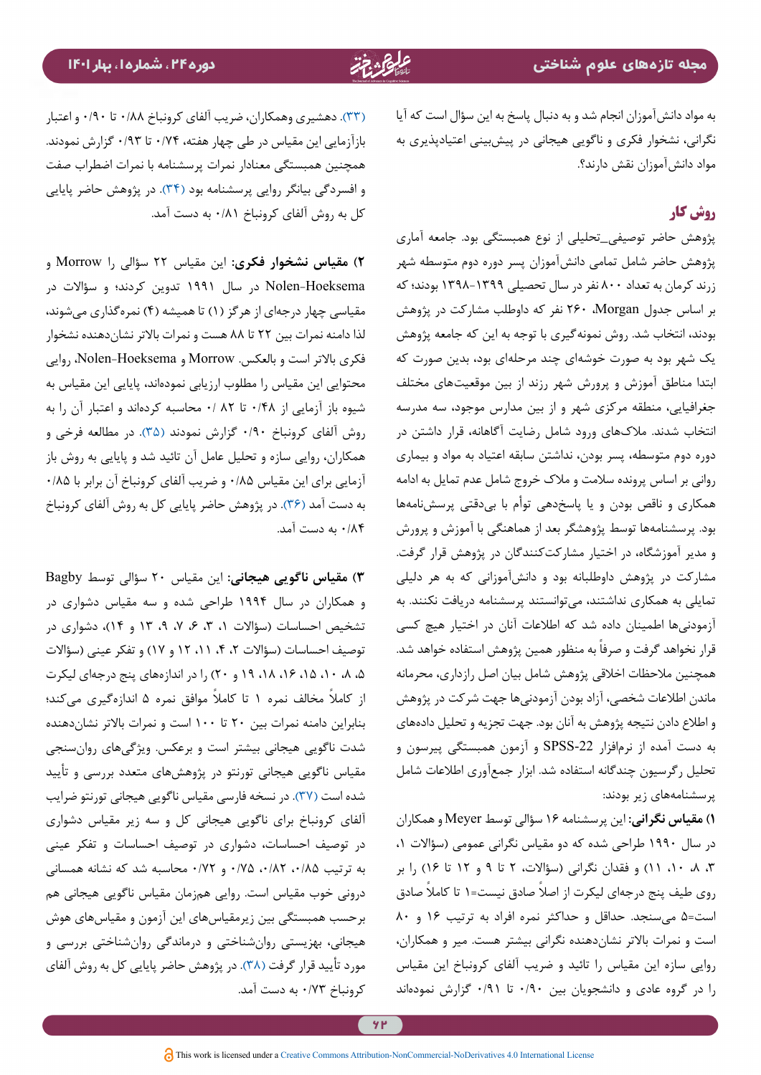به مواد دانشآموزان انجام شد و به دنبال پاسخ به این سؤال است که آیا نگرانی، نشخوار فکری و ناگویی هیجانی در پیشبینی اعتیادپذیری به مواد دانشآموزان نقش دارند؟.

# **روش کار**

پژوهش حاضر توصیفی\_تحلیلی از نوع همبستگی بود. جامعه آماری پژوهش حاضر شامل تمامی دانشآموزان پسر دوره دوم متوسطه شهر زرند کرمان به تعداد 800 نفر در سال تحصیلی 1398-1399 بودند؛ که بر اساس جدول Morgan، 260 نفر که داوطلب مشارکت در پژوهش بودند، انتخاب شد. روش نمونهگیری با توجه به این که جامعه پژوهش یک شهر بود به صورت خوشهای چند مرحلهای بود، بدین صورت که ابتدا مناطق آموزش و پرورش شهر رزند از بین موقعیتهای مختلف جغرافیایی، منطقه مرکزی شهر و از بین مدارس موجود، سه مدرسه انتخاب شدند. مالکهای ورود شامل رضایت آگاهانه، قرار داشتن در دوره دوم متوسطه، پسر بودن، نداشتن سابقه اعتیاد به مواد و بیماری روانی بر اساس پرونده سالمت و مالک خروج شامل عدم تمایل به ادامه همکاری و ناقص بودن و یا پاسخدهی توأم با بیدقتی پرسشنامهها بود. پرسشنامهها توسط پژوهشگر بعد از هماهنگی با آموزش و پرورش و مدیر آموزشگاه، در اختیار مشارکتکنندگان در پژوهش قرار گرفت. مشارکت در پژوهش داوطلبانه بود و دانشآموزانی که به هر دلیلی تمایلی به همکاری نداشتند، میتوانستند پرسشنامه دریافت نکنند. به آزمودنیها اطمینان داده شد که اطالعات آنان در اختیار هیچ کسی قرار نخواهد گرفت و صرفاً به منظور همین پژوهش استفاده خواهد شد. همچنین مالحظات اخالقی پژوهش شامل بیان اصل رازداری، محرمانه ماندن اطالعات شخصی، آزاد بودن آزمودنیها جهت شرکت در پژوهش و اطالع دادن نتیجه پژوهش به آنان بود. جهت تجزیه و تحلیل دادههای به دست آمده از نرمافزار -22SPSS و آزمون همبستگی پیرسون و تحلیل رگرسیون چندگانه استفاده شد. ابزار جمعآوری اطالعات شامل پرسشنامههای زیر بودند:

**1( مقیاس نگرانی:** این پرسشنامه 16 سؤالی توسط Meyer و همکاران در سال 1990 طراحی شده که دو مقیاس نگرانی عمومی )سؤاالت ،1 ،3 ،8 ،10 11( و فقدان نگرانی )سؤاالت، 2 تا 9 و 12 تا 16( را بر روی طیف پنج درجهای لیکرت از اصلاً صادق نیست=۱ تا کاملاً صادق است=5 میسنجد. حداقل و حداکثر نمره افراد به ترتیب 16 و 80 است و نمرات باالتر نشاندهنده نگرانی بیشتر هست. میر و همکاران، روایی سازه این مقیاس را تائید و ضریب آلفای کرونباخ این مقیاس را در گروه عادی و دانشجویان بین 0/90 تا 0/91 گزارش نمودهاند

)[33](#page-13-5)(. دهشیری وهمکاران، ضریب آلفای کرونباخ 0/88 تا 0/90 و اعتبار بازآزمایی این مقیاس در طی چهار هفته، 0/74 تا 0/93 گزارش نمودند. همچنين همبستگي معنادار نمرات پرسشنامه با نمرات اضطراب صفت و افسردگي بيانگر روايي پرسشنامه بود )[34](#page-13-0)(. در پژوهش حاضر پایایی کل به روش آلفای کرونباخ 0/81 به دست آمد.

**2( مقیاس نشخوار فکری:** این مقیاس 22 سؤالی را Morrow و Hoeksema-Nolen در سال 1991 تدوین کردند؛ و سؤاالت در مقیاسی چهار درجهای از هرگز (۱) تا همیشه (۴) نمرهگذاری می شوند، لذا دامنه نمرات بین 22 تا 88 هست و نمرات باالتر نشاندهنده نشخوار فکری باالتر است و بالعکس. Morrow و Hoeksema-Nolen، روایی محتوایی این مقیاس را مطلوب ارزیابی نمودهاند، پایایی این مقیاس به شیوه باز آزمایی از 0/48 تا 82 0/ محاسبه کردهاند و اعتبار آن را به روش آلفای کرونباخ 0/90 گزارش نمودند )[35\(](#page-13-6). در مطالعه فرخی و همکاران، روایی سازه و تحلیل عامل آن تائید شد و پایایی به روش باز آزمایی برای این مقیاس 0/85 و ضریب آلفای کرونباخ آن برابر با 0/85 به دست آمد )[36](#page-13-7)(. در پژوهش حاضر پایایی کل به روش آلفای کرونباخ 0/84 به دست آمد.

**3( مقیاس ناگویی هیجانی:** این مقیاس 20 سؤالی توسط Bagby و همکاران در سال 1994 طراحی شده و سه مقیاس دشواری در تشخیص احساسات )سؤاالت ،1 ،3 ،6 ،7 ،9 13 و 14(، دشواری در توصیف احساسات )سؤاالت ،2 ،4 ،11 12 و 17( و تفکر عینی )سؤاالت ،5 ،8 ،10 ،15 ،16 ،18 19 و 20( را در اندازههای پنج درجهای لیکرت ً از کامال مخالف نمره 1 ً تا کامال موافق نمره 5 اندازهگیری میکند؛ بنابراین دامنه نمرات بین 20 تا 100 است و نمرات باالتر نشاندهنده شدت ناگویی هیجانی بیشتر است و برعکس. ویژگیهای روانسنجی مقیاس ناگویی هیجانی تورنتو در پژوهشهای متعدد بررسی و تأیید شده است )[37](#page-13-1)(. در نسخه فارسی مقیاس ناگویی هیجانی تورنتو ضرایب آلفای کرونباخ برای ناگویی هیجانی کل و سه زیر مقیاس دشواری در توصیف احساسات، دشواری در توصیف احساسات و تفکر عینی به ترتیب ،0/85 ،0/82 0/75 و 0/72 محاسبه شد که نشانه همسانی درونی خوب مقیاس است. روایی همزمان مقیاس ناگویی هیجانی هم برحسب همبستگی بین زیرمقیاسهای این آزمون و مقیاسهای هوش هیجانی، بهزیستی روانشناختی و درماندگی روانشناختی بررسی و مورد تأیید قرار گرفت (۳۸). در پژوهش حاضر پایایی کل به روش آلفای کرونباخ 0/73 به دست آمد.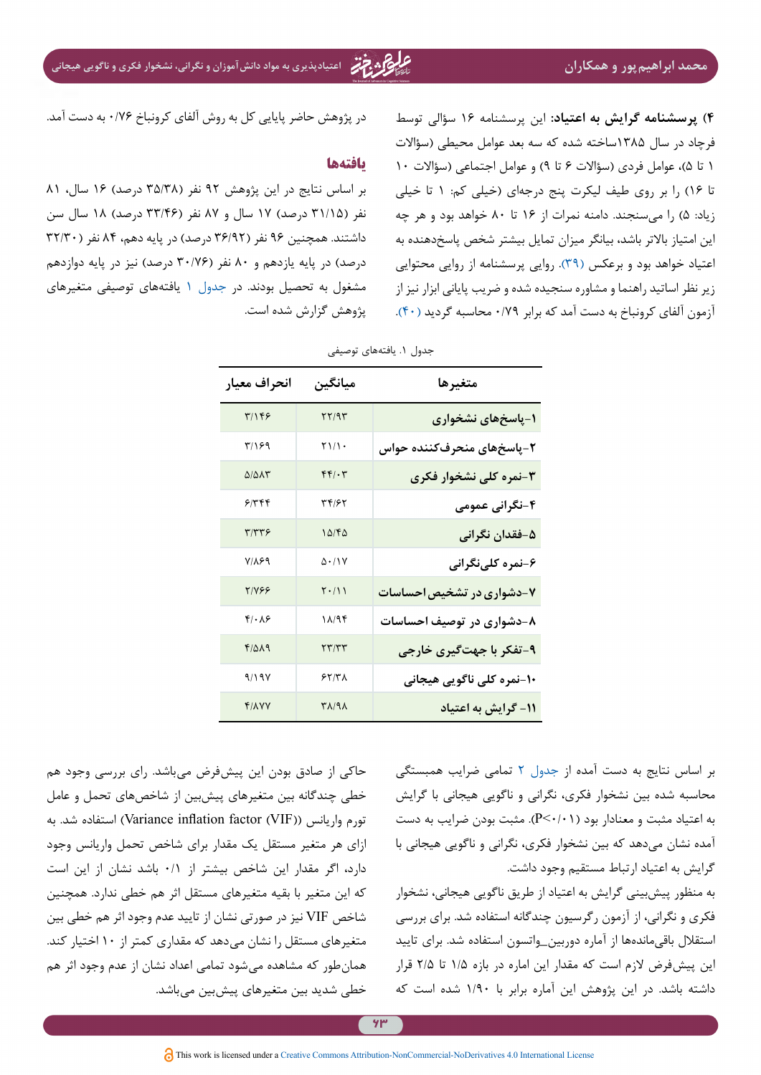**محمد ابراهیمپور و همکاران اعتیادپذیری به مواد دانشآموزان و نگرانی، نشخوار فکری و ناگویی هیجانی**

<span id="page-7-0"></span>**4( پرسشنامه گرایش به اعتیاد:** این پرسشنامه 16 سؤالی توسط فرچاد در سال 1385ساخته شده که سه بعد عوامل محیطی )سؤاالت 1 تا ۵)، عوامل فردی (سؤالات ۶ تا ۹) و عوامل اجتماعی (سؤالات ۱۰ تا 16( را بر روی طیف لیکرت پنج درجهای )خیلی کم: 1 تا خیلی زیاد: 5( را میسنجند. دامنه نمرات از 16 تا 80 خواهد بود و هر چه این امتیاز باالتر باشد، بیانگر میزان تمایل بیشتر شخص پاسخدهنده به اعتیاد خواهد بود و برعکس )[39\(](#page-13-9). روايي پرسشنامه از روايي محتوایی زير نظر اساتيد راهنما و مشاوره سنجيده شده و ضريب پاياني ابزار نيز از آزمون آلفاي كرونباخ به دست آمد كه برابر 0/79 محاسبه گرديد [\)40\(](#page-13-10).

در پژوهش حاضر پایایی کل به روش آلفای کرونباخ 0/76 به دست آمد.

### **یافتهها**

بر اساس نتایج در این پژوهش ۹۲ نفر (۳۵/۳۸ درصد) ۱۶ سال، ۸۱ نفر ( ۳۱/۱۵ درصد) ۱۷ سال و ۸۷ نفر (۳۳/۴۶ درصد) ۱۸ سال سن داشتند. همچنین ۹۶ نفر (۳۶/۹۲ درصد) در پایه دهم، ۸۴ نفر ( ۳۲/۳۰ درصد) در پایه یازدهم و ۸۰ نفر (۳۰/۷۶ درصد) نیز در پایه دوازدهم مشغول به تحصیل بودند. در [جدول 1](#page-7-0) یافتههای توصیفی متغیرهای پژوهش گزارش شده است.

| متغيرها                   | ميانگين                         | انحراف معيار          |
|---------------------------|---------------------------------|-----------------------|
| ۱-پاسخهای نشخواری         | 77/95                           | ٣/١۴۶                 |
| ۲-پاسخهای منحرفکننده حواس | $\gamma$                        | ۳/۱۶۹                 |
| ۳-نمره کلی نشخوار فکری    | $f(f) \cdot \tau$               | $Q/\Delta\Lambda\tau$ |
| ۴-نگرانی عمومی            | 34193                           | ۶۱۳۴۴                 |
| ۵–فقدان نگران <u>ی</u>    | 10/60                           | ۳/۳۳۶                 |
| ۶-نمره کلینگرانی          | $\Delta$ $\cdot$ / $\sqrt{V}$   | <b>VILE9</b>          |
| ۷-دشواری در تشخیص احساسات | $\mathbf{Y} \cdot / \mathbf{Y}$ | <b>TIVES</b>          |
| ۸-دشواری در توصیف احساسات | $\lambda/\lambda f$             | $f/\cdot \lambda f$   |
| ۹-تفکر با جهتگیری خارجی   | ۲۳/۳۳                           | $F/\Delta\Lambda$ 9   |
| ۱۰-نمره کلی ناگویی هیجانی | 55/7A                           | 9/19V                 |
| ١١- گرايش به اعتياد       | $\Gamma \Lambda / 9 \Lambda$    | <b>FILVY</b>          |

جدول ١. یافتههای توصیفی

حاکی از صادق بودن این پیشفرض میباشد. رای بررسی وجود هم خطی چندگانه بین متغیرهای پیشبین از شاخصهای تحمل و عامل تورم واريانس ))VIF (factor inflation Variance )استفاده شد. به ازای هر متغیر مستقل یک مقدار برای شاخص تحمل واریانس وجود دارد، اگر مقدار این شاخص بیشتر از 0/1 باشد نشان از این است که این متغیر با بقیه متغیرهای مستقل اثر هم خطی ندارد. همچنین شاخص VIF نیز در صورتی نشان از تایید عدم وجود اثر هم خطی بین متغیرهای مستقل را نشان میدهد که مقداری کمتر از 10 اختیار کند. همانطور که مشاهده میشود تمامی اعداد نشان از عدم وجود اثر هم خطی شدید بین متغیرهای پیشبین میباشد.

بر اساس نتایج به دست آمده از [جدول 2](#page-8-0) تمامی ضرایب همبستگی محاسبه شده بین نشخوار فکری، نگرانی و ناگویی هیجانی با گرایش به اعتیاد مثبت و معنادار بود (P<۰/۰۱). مثبت بودن ضرایب به دست آمده نشان میدهد که بین نشخوار فکری، نگرانی و ناگویی هیجانی با گرایش به اعتیاد ارتباط مستقیم وجود داشت.

به منظور پیشبینی گرایش به اعتیاد از طریق ناگویی هیجانی، نشخوار فکری و نگرانی، از آزمون رگرسیون چندگانه استفاده شد. برای بررسی استقالل باقیماندهها از آماره دوربین\_واتسون استفاده شد. برای تایید این پیشفرض الزم است که مقدار این اماره در بازه 1/5 تا 2/5 قرار داشته باشد. در این پژوهش این آماره برابر با 1/90 شده است که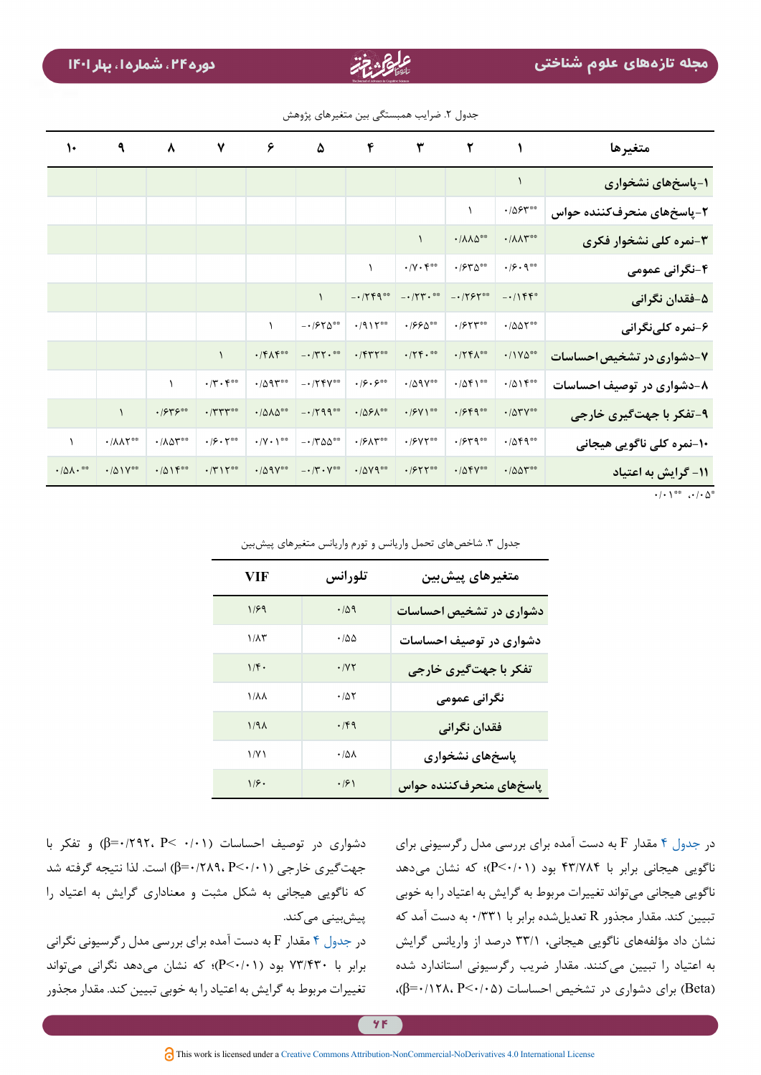| متغيرها                   |                                                         | $\mathbf{r}$ $\mathbf{r}$               |                                       | $\mathfrak{p}$ $\mathfrak{p}$ | ۵                                                                                             |                              | $\gamma$ $\gamma$                                          | $\lambda$                          | ٩                                   | $\mathcal{L}$                 |
|---------------------------|---------------------------------------------------------|-----------------------------------------|---------------------------------------|-------------------------------|-----------------------------------------------------------------------------------------------|------------------------------|------------------------------------------------------------|------------------------------------|-------------------------------------|-------------------------------|
| 1-پاسخهای نشخواری         |                                                         |                                         |                                       |                               |                                                                                               |                              |                                                            |                                    |                                     |                               |
| ۲-پاسخهای منحرفکننده حواس | $\cdot$ / $\Delta$ ۶۳**                                 | $\lambda$                               |                                       |                               |                                                                                               |                              |                                                            |                                    |                                     |                               |
| ۳-نمره کلی نشخوار فکری    | $\cdot/\Lambda\Lambda^{\text{max}}$                     | $\cdot/\Lambda\Lambda\Delta^{\ast\ast}$ | $\lambda$                             |                               |                                                                                               |                              |                                                            |                                    |                                     |                               |
| ۴-نگرانی عمومی            | $\cdot$ / $\mathcal{S}$ $\cdot$ 9.00                    | $\cdot$ / $55^{\circ}$                  | $\cdot/\gamma\cdot \mathfrak{r}^{**}$ | $\lambda$                     |                                                                                               |                              |                                                            |                                    |                                     |                               |
| ۵-فقدان نگرانی            | $-1155$                                                 | $-1795$                                 | $ \cdot$ /٢٣ $\cdot$ **               | $-1759$                       |                                                                                               |                              |                                                            |                                    |                                     |                               |
| ۶-نمره کلینگرانی          | $\cdot$ /00 $\Upsilon$ **                               | $\cdot$ / $\gamma$                      | $\cdot$ /۶۶۵**                        | $\cdot$ /917**                | $-1970$                                                                                       | $\mathcal{L}$                |                                                            |                                    |                                     |                               |
| ۷-دشواری در تشخیص احساسات | $\cdot$ /1Y۵**                                          | $\cdot$ /٢۴ $\Lambda^{\circ\circ}$      | $\cdot$ /٢۴.                          | $\cdot$ /۴۳۲                  | $ \cdot$ /۳۲ $\cdot$ **                                                                       | $\cdot$ /۴ $\Lambda$ ۴**     | $\lambda$                                                  |                                    |                                     |                               |
| ۸-دشواری در توصیف احساسات | $.401$ $50$                                             | $\cdot$ /04100                          | $\cdot$ /09 $Y^{\circ\circ}$          | $\cdot$ $\beta \cdot 5$       | $-1754$                                                                                       | $\cdot$ /095 $\degree$       | $\cdot$ / $\mathsf{r}\cdot\mathsf{r}$ <sup>**</sup>        | $\lambda$                          |                                     |                               |
| ۹-تفکر با جهتگیری خارجی   | $\cdot$ / $\Delta$ $\mathsf{r}$ $\mathsf{v}^{\ast\ast}$ | $\cdot$ / $559^{\circ\circ}$            | $\cdot$ / $9$ Y \ **                  | $\cdot$ /091 **               | $-1799$                                                                                       | $\cdot$ /010**               | $\cdot$ /٣٣٣                                               | .1949                              | $\lambda$                           |                               |
| ۱۰-نمره کلی ناگویی هیجانی | $\cdot$ /04900                                          | $\cdot$ / $54^{\circ\circ}$             | $\cdot$ / $\gamma$                    | $\cdot$ /۶۸۳**                | $- \cdot 7^{\circ} \Delta \Delta^{\circ \circ}$                                               | $\cdot$ /Y $\cdot$ \**       | $\cdot$ / $\mathcal{S}$ $\cdot$ $\mathcal{V}^{\circ\circ}$ | $\cdot/\lambda\Delta\Upsilon^{**}$ | $\cdot/\lambda\lambda\Upsilon^{**}$ | $\lambda$                     |
| ۱۱- گرایش به اعتیاد       | $\cdot$ /00 $\mathbf{r}^{\infty}$                       | $\cdot$ /04 $V^{\circ\circ}$            | $\cdot$ / $\gamma$ rr **              | $\cdot$ /079**                | $-\boldsymbol{\cdot}\,/\boldsymbol{\uparrow}\boldsymbol{\cdot}\,\boldsymbol{\vee}^{\ast\ast}$ | $\cdot$ /09 $V^{\circ\circ}$ | $\cdot$ /٣١٢ <sup><math>\circ</math></sup>                 | $.4015***$                         | $\cdot$ /01Y**                      | $\cdot/\Delta\Lambda\cdot$ ** |

جدول ٢. ضرایب همبستگی بین متغیرهای پژوهش

<span id="page-8-0"></span> $\cdot$ / $\cdot$ <sup>00</sup>  $\cdot$ / $\cdot$   $\Delta$ <sup>0</sup>

| VIF          | تلورانس                | متغیرهای پیشبین         |
|--------------|------------------------|-------------------------|
| 1/F9         | .409                   | دشواری در تشخیص احساسات |
| ۱/۸۳         | $\cdot$ /00            | دشواری در توصیف احساسات |
| 1/f.         | $\cdot$ / $\gamma\tau$ | تفکر با جهتگیری خارجی   |
| ۱/λλ         | $\cdot/\Delta\Upsilon$ | نگرانی عمومی            |
| $1/9\Lambda$ | $\cdot$ /۴9            | فقدان نگرانی            |
| 1/Y1         | $\cdot/\Delta\lambda$  | پاسخهای نشخواری         |
| 1/f.         | $\cdot$ /۶)            | پاسخهای منحرفکننده حواس |

جدول ٣. شاخصهای تحمل واريانس و تورم واريانس متغيرهای پيشبين

دشواری در توصیف احساسات (۶/۰٬۲۹۲، P< 0) و تفکر با جهتگیری خارجی ((۲۰/۱۰-β) است. لذا نتیجه گرفته شد که ناگویی هیجانی به شکل مثبت و معناداری گرایش به اعتیاد را پیشبینی میکند.

در [جدول 4](#page-9-0) مقدار F به دست آمده برای بررسی مدل رگرسیونی نگرانی برابر با 73/430 بود )0/01<P)؛ که نشان میدهد نگرانی میتواند تغییرات مربوط به گرایش به اعتیاد را به خوبی تبیین کند. مقدار مجذور

در [جدول 4](#page-9-0) مقدار F به دست آمده برای بررسی مدل رگرسیونی برای ناگویی هیجانی برابر با ۴۳/۷۸۴ بود (P<۰/۰۱)؛ که نشان میدهد ناگویی هیجانی میتواند تغییرات مربوط به گرایش به اعتیاد را به خوبی تبیین کند. مقدار مجذور R تعدیلشده برابر با 0/331 به دست آمد که نشان داد مؤلفههای ناگویی هیجانی، 33/1 درصد از واريانس گرایش به اعتیاد را تبيين میکنند. مقدار ضریب رگرسیونی استاندارد شده )Beta )برای دشواری در تشخیص احساسات )0/05<P 0/128،=β)،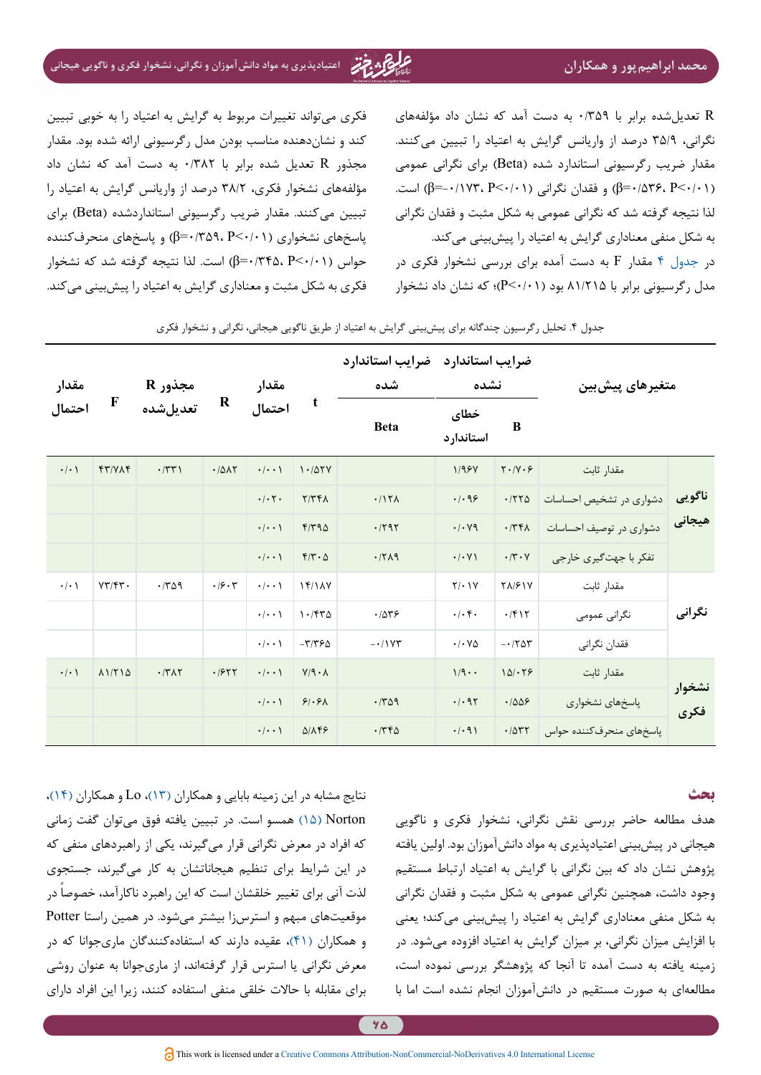R تعدیلشده برابر با 0/359 به دست آمد که نشان داد مؤلفههای نگرانی، 35/9 درصد از واريانس گرایش به اعتیاد را تبيين میکنند. مقدار ضریب رگرسیونی استاندارد شده )Beta )برای نگرانی عمومی )0/01<P 0/536،=β )و فقدان نگرانی )0/01<P -0/173،=β )است. لذا نتیجه گرفته شد که نگرانی عمومی به شکل مثبت و فقدان نگرانی به شکل منفی معناداری گرایش به اعتیاد را پیشبینی ميکند. در [جدول 4](#page-9-0) مقدار F به دست آمده برای بررسی نشخوار فکری در مدل رگرسیونی برابر با 81/215 بود )0/01<P)؛ که نشان داد نشخوار

فکری میتواند تغییرات مربوط به گرایش به اعتیاد را به خوبی تبیین کند و نشاندهنده مناسب بودن مدل رگرسیونی ارائه شده بود. مقدار مجذور R تعدیل شده برابر با 0/382 به دست آمد که نشان داد مؤلفههای نشخوار فکری، 38/2 درصد از واريانس گرایش به اعتیاد را تبيين میکنند. مقدار ضریب رگرسیونی استانداردشده )Beta )برای پاسخهای نشخواری (۲۴۰۱۰-۶)(۶=β) و پاسخهای منحرفکننده حواس )0/01<P 0/345،=β )است. لذا نتیجه گرفته شد که نشخوار فکری به شکل مثبت و معناداری گرایش به اعتیاد را پیشبینی ميکند.

| مقدار<br>احتمال     |                                 | مجذور R<br>تعديل شده  | $\bf R$ | مقدار<br>t<br>احتمال               |                                  | ضرايب استاندارد<br>شده |                                | ضرایب استاندارد<br>نشده | متغيرهاي پيش بين         |                  |
|---------------------|---------------------------------|-----------------------|---------|------------------------------------|----------------------------------|------------------------|--------------------------------|-------------------------|--------------------------|------------------|
|                     | $\mathbf F$                     |                       |         |                                    |                                  | <b>Beta</b>            | خطاى<br>استاندار د             | B                       |                          |                  |
| $\cdot$ / $\cdot$ \ | $fT/Y\wedge f$                  | $\cdot$ /٣٣)          | .7017   | $\cdot/\cdot\cdot$                 | 1.107Y                           |                        | 1/95V                          | $Y \cdot / Y \cdot 5$   | مقدار ثابت               |                  |
|                     |                                 |                       |         | $\cdot/\cdot$ $\mathsf{Y}$ $\cdot$ | Y/YFA                            | .117A                  | .499                           | .7770                   | دشواری در تشخیص احساسات  | ناگويي<br>هيجانى |
|                     |                                 |                       |         | $\cdot/\cdot\cdot$                 | F/T90                            | .797                   | $\cdot$ / $\cdot$ /9           | .774                    | دشواری در توصیف احساسات  |                  |
|                     |                                 |                       |         | $\cdot$   $\cdot$ \                | $F/Y \cdot \Delta$               | .7719                  | $\cdot/\cdot$ Y)               | $\cdot$ /٣ $\cdot$ Y    | تفکر با جهتگیری خارجی    |                  |
| $\cdot$ / $\cdot$ \ | $VT/\mathfrak{f}\mathfrak{r}$ . | .709                  | .19.7   | $\cdot$   $\cdot$ \                | 15/14V                           |                        | $Y/\cdot Y$                    | <b>TA/۶۱۷</b>           | مقدار ثابت               |                  |
|                     |                                 |                       |         | $\cdot/\cdot\cdot$                 | 1.750                            | .7879                  | $\cdot/\cdot$ $\mathfrak{f}$ . | .7917                   | نگرانی عمومی             | نگرانی           |
|                     |                                 |                       |         | $\cdot$   $\cdot$ \                | $-\mathbf{r}/\mathbf{r}\epsilon$ | $-1$                   | $\cdot$ / $\cdot$ Y $\Delta$   | $-1707$                 | فقدان نگرانی             |                  |
| $\cdot$ / $\cdot$ \ | 11710                           | $\cdot$ /٣ $\wedge$ ٢ | .1977   | $\cdot/\cdot\cdot$                 | $V/q \cdot \Lambda$              |                        | $1/9$                          | 101.79                  | مقدار ثابت               |                  |
|                     |                                 |                       |         | $\cdot/\cdot\cdot$                 | 91.91                            | .709                   | $\cdot$ / $\cdot$ 95           | .1008                   | پاسخهای نشخواری          | نشخوار<br>فكرى   |
|                     |                                 |                       |         | $\cdot$   $\cdot$ \                | $Q/N$ FF                         | .746                   | .4.91                          | .7077                   | پاسخهای منحرف کننده حواس |                  |

جدول .4 تحلیل رگرسیون چندگانه برای پیشبینی گرایش به اعتیاد از طریق ناگویی هیجانی، نگرانی و نشخوار فکری

### <span id="page-9-0"></span>**بحث**

هدف مطالعه حاضر بررسی نقش نگرانی، نشخوار فکری و ناگویی هیجانی در پیشبینی اعتیادپذیری به مواد دانشآموزان بود. اولین یافته پژوهش نشان داد که بین نگرانی با گرایش به اعتیاد ارتباط مستقیم وجود داشت، همچنین نگرانی عمومی به شکل مثبت و فقدان نگرانی به شکل منفی معناداری گرایش به اعتیاد را پیشبینی ميکند؛ یعنی با افزایش میزان نگرانی، بر میزان گرایش به اعتیاد افزوده میشود. در زمینه یافته به دست آمده تا آنجا که پژوهشگر بررسی نموده است، مطالعهای به صورت مستقیم در دانشآموزان انجام نشده است اما با

نتایج مشابه در این زمینه بابایی و همکاران )[13](#page-12-2)(، Lo و همکاران )[14](#page-12-3)(، Norton( [15](#page-12-12) )همسو است. در تبیین یافته فوق میتوان گفت زمانی که افراد در معرض نگرانی قرار میگیرند، یکی از راهبردهای منفی که در این شرایط برای تنظیم هیجاناتشان به کار میگیرند، جستجوی لذت آنی برای تغییر خلقشان است که این راهبرد ناکارآمد، خصوصاً در موقعیتهای مبهم و استرسزا بیشتر میشود. در همین راستا Potter و همکاران [\)41](#page-13-11)(، عقیده دارند که استفادهکنندگان ماریجوانا که در معرض نگرانی یا استرس قرار گرفتهاند، از ماریجوانا به عنوان روشی برای مقابله با حاالت خلقی منفی استفاده کنند، زیرا این افراد دارای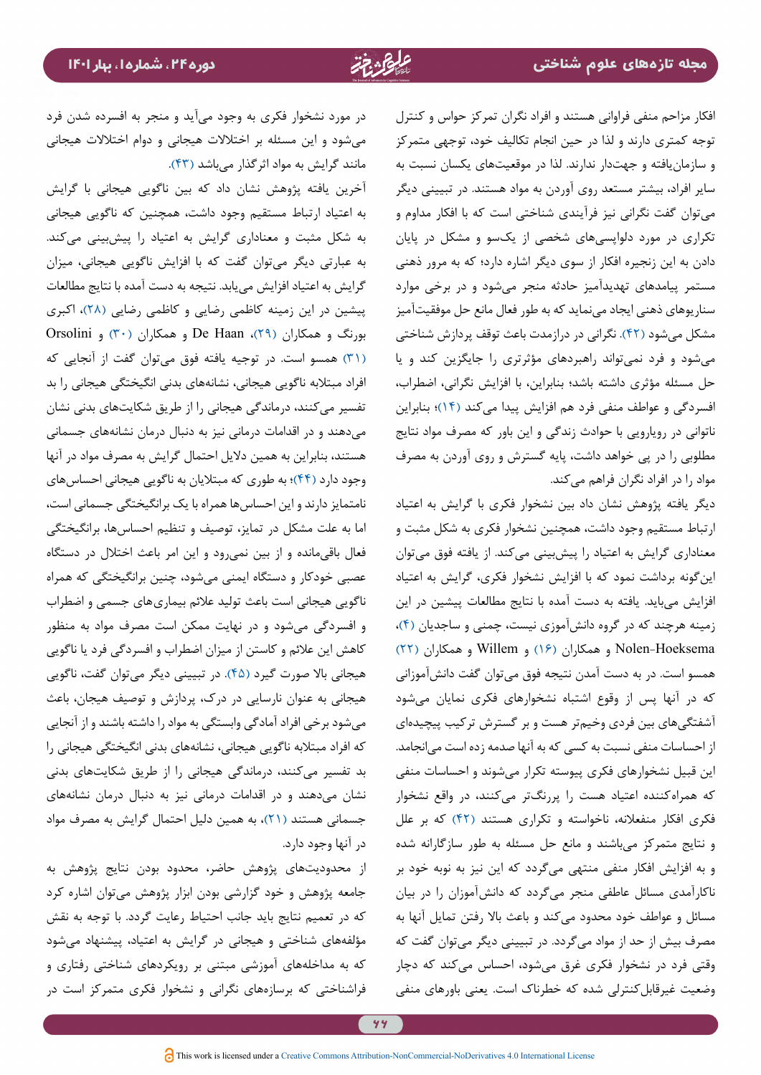افکار مزاحم منفی فراوانی هستند و افراد نگران تمرکز حواس و کنترل توجه کمتری دارند و لذا در حین انجام تکالیف خود، توجهی متمرکز و سازمانیافته و جهتدار ندارند. لذا در موقعیتهای یکسان نسبت به سایر افراد، بیشتر مستعد روی آوردن به مواد هستند. در تبیینی دیگر میتوان گفت نگرانی نیز فرآیندی شناختی است که با افکار مداوم و تکراری در مورد دلواپسیهای شخصی از یکسو و مشکل در پایان دادن به این زنجیره افکار از سوی دیگر اشاره دارد؛ که به مرور ذهنی مستمر پیامدهای تهدیدآمیز حادثه منجر میشود و در برخی موارد سناریوهای ذهنی ایجاد مینماید که به طور فعال مانع حل موفقیتآمیز مشکل میشود )[42](#page-13-12)(. نگرانی در درازمدت باعث توقف پردازش شناختی میشود و فرد نمیتواند راهبردهای مؤثرتری را جایگزین کند و یا حل مسئله مؤثری داشته باشد؛ بنابراین، با افزایش نگرانی، اضطراب، افسردگی و عواطف منفی فرد هم افزایش پیدا میکند [\)14\(](#page-12-3)؛ بنابراین ناتوانی در رویارویی با حوادث زندگی و این باور که مصرف مواد نتایج مطلوبی را در پی خواهد داشت، پایه گسترش و روی آوردن به مصرف مواد را در افراد نگران فراهم میکند.

دیگر یافته پژوهش نشان داد بین نشخوار فکری با گرایش به اعتیاد ارتباط مستقیم وجود داشت، همچنین نشخوار فکری به شکل مثبت و معناداری گرایش به اعتیاد را پیشبینی ميکند. از یافته فوق میتوان اینگونه برداشت نمود که با افزایش نشخوار فکری، گرایش به اعتیاد افزایش میباید. یافته به دست آمده با نتایج مطالعات پیشین در این زمینه هرچند که در گروه دانشآموزی نیست، چمنی و ساجدیان [\)4\(](#page-11-3)، Hoeksema-Nolen و همکاران [\)16](#page-12-13)( و Willem و همکاران [\)22](#page-12-9)( همسو است. در به دست آمدن نتیجه فوق میتوان گفت دانشآموزانی که در آنها پس از وقوع اشتباه نشخوارهای فکری نمایان میشود آشفتگیهای بین فردی وخیمتر هست و بر گسترش ترکیب پیچیدهای از احساسات منفی نسبت به کسی که به آنها صدمه زده است میانجامد. این قبیل نشخوارهای فکری پیوسته تکرار میشوند و احساسات منفی که همراهکننده اعتیاد هست را پررنگتر میکنند، در واقع نشخوار فکری افکار منفعالنه، ناخواسته و تکراری هستند )[42](#page-13-12)( که بر علل و نتایج متمرکز میباشند و مانع حل مسئله به طور سازگارانه شده و به افزایش افکار منفی منتهی میگردد که این نیز به نوبه خود بر ناکارآمدی مسائل عاطفی منجر میگردد که دانشآموزان را در بیان مسائل و عواطف خود محدود میکند و باعث باال رفتن تمایل آنها به مصرف بیش از حد از مواد میگردد. در تبیینی دیگر میتوان گفت که وقتي فرد در نشخوار فكري غرق میشود، احساس میکند كه دچار وضعيت غیرقابلکنترلی شده كه خطرناك است. يعني باورهاي منفي

در مورد نشخوار فكري به وجود میآید و منجر به افسرده شدن فرد میشود و این مسئله بر اختالالت هيجاني و دوام اختالالت هيجاني مانند گرایش به مواد اثرگذار میباشد )[43](#page-13-13)(.

آخرین یافته پژوهش نشان داد که بین ناگویی هیجانی با گرایش به اعتیاد ارتباط مستقیم وجود داشت، همچنین که ناگویی هیجانی به شکل مثبت و معناداری گرایش به اعتیاد را پیشبینی ميکند. به عبارتی دیگر میتوان گفت که با افزایش ناگویی هیجانی، میزان گرایش به اعتیاد افزایش مییابد. نتیجه به دست آمده با نتایج مطالعات پیشین در این زمینه کاظمی رضایی و کاظمی رضایی (۲۸)، اکبری  $Orsolini$  بورنگ و همکاران (۲۹)، De Haan و همکاران (۳۰ $($  و Orsolini [\)31\(](#page-13-3) همسو است. در توجیه یافته فوق میتوان گفت از آنجایی که افراد مبتالبه ناگویی هیجانی، نشانههای بدنی انگیختگی هیجانی را بد تفسیر میکنند، درماندگی هیجانی را از طریق شکایتهای بدنی نشان میدهند و در اقدامات درمانی نیز به دنبال درمان نشانههای جسمانی هستند، بنابراین به همين داليل احتمال گرایش به مصرف مواد در آنها وجود دارد [\)44\(](#page-13-14)؛ به طوری که مبتالیان به ناگویی هیجانی احساسهای نامتمایز دارند و این احساسها همراه با یک برانگیختگی جسمانی است، اما به علت مشکل در تمایز، توصیف و تنظیم احساسها، برانگیختگی فعال باقیمانده و از بین نمیرود و این امر باعث اختالل در دستگاه عصبی خودکار و دستگاه ایمنی میشود، چنین برانگیختگی که همراه ناگویی هیجانی است باعث تولید عالئم بیماریهای جسمی و اضطراب و افسردگی میشود و در نهایت ممکن است مصرف مواد به منظور کاهش این عالئم و کاستن از میزان اضطراب و افسردگی فرد یا ناگویی هیجانی باال صورت گیرد [\)45](#page-13-15)(. در تبیینی دیگر میتوان گفت، ناگویی هیجانی به عنوان نارسایی در درک، پردازش و توصیف هیجان، باعث میشود برخی افراد آمادگی وابستگی به مواد را داشته باشند و از آنجایی که افراد مبتالبه ناگویی هیجانی، نشانههای بدنی انگیختگی هیجانی را بد تفسیر میکنند، درماندگی هیجانی را از طریق شکایتهای بدنی نشان میدهند و در اقدامات درمانی نیز به دنبال درمان نشانههای جسمانی هستند [\)21](#page-12-16)(، به همین دلیل احتمال گرایش به مصرف مواد در آنها وجود دارد.

از محدودیتهای پژوهش حاضر، محدود بودن نتایج پژوهش به جامعه پژوهش و خود گزارشی بودن ابزار پژوهش میتوان اشاره کرد که در تعمیم نتایج باید جانب احتیاط رعایت گردد. با توجه به نقش مؤلفههای شناختی و هیجانی در گرایش به اعتیاد، پیشنهاد میشود که به مداخلههای آموزشی مبتنی بر رویکردهای شناختی رفتاری و فراشناختی که برسازههای نگرانی و نشخوار فکری متمرکز است در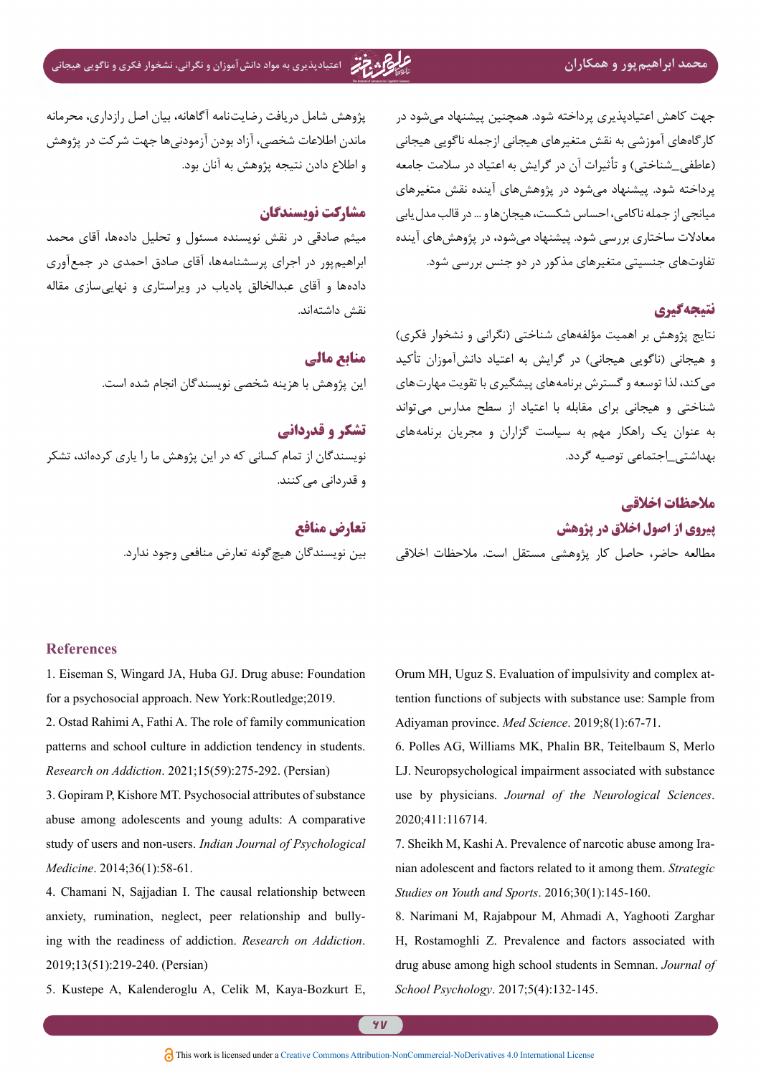# **محمد ابراهیمپور و همکاران اعتیادپذیری به مواد دانشآموزان و نگرانی، نشخوار فکری و ناگویی هیجانی**

جهت کاهش اعتیادپذیری پرداخته شود. همچنین پیشنهاد میشود در کارگاههای آموزشی به نقش متغیرهای هیجانی ازجمله ناگویی هیجانی (عاطفی\_شناختی) و تأثیرات آن در گرایش به اعتیاد در سلامت جامعه پرداخته شود. پیشنهاد میشود در پژوهشهای آینده نقش متغیرهای میانجی از جمله ناکامی، احساس شکست، هیجانها و ... در قالب مدلیابی معادالت ساختاری بررسی شود. پیشنهاد میشود، در پژوهشهای آینده تفاوتهای جنسیتی متغیرهای مذکور در دو جنس بررسی شود.

### **نتیجهگیری**

نتایج پژوهش بر اهمیت مؤلفههای شناختی )نگرانی و نشخوار فکری( و هیجانی (ناگویی هیجانی) در گرایش به اعتیاد دانشآموزان تأکید می کند، لذا توسعه و گسترش برنامههای پیشگیری با تقویت مهارتهای شناختی و هیجانی برای مقابله با اعتیاد از سطح مدارس میتواند به عنوان یک راهکار مهم به سیاست گزاران و مجریان برنامههای بهداشتی\_اجتماعی توصیه گردد.

### **مالحظات اخالقی**

**پیروی از اصول اخالق در پژوهش**

مطالعه حاضر، حاصل کار پژوهشی مستقل است. مالحظات اخالقی

پژوهش شامل دریافت رضایتنامه آگاهانه، بیان اصل رازداری، محرمانه ماندن اطالعات شخصی، آزاد بودن آزمودنیها جهت شرکت در پژوهش و اطالع دادن نتیجه پژوهش به آنان بود.

## **مشارکت نویسندگان**

میثم صادقی در نقش نویسنده مسئول و تحلیل دادهها، آقای محمد ابراهیمپور در اجرای پرسشنامهها، آقای صادق احمدی در جمعآوری دادهها و آقای عبدالخالق پادیاب در ویراستاری و نهاییسازی مقاله نقش داشتهاند.

> **منابع مالی** این پژوهش با هزینه شخصی نویسندگان انجام شده است.

**تشکر و قدردانی** نویسندگان از تمام کسانی که در این پژوهش ما را یاری کردهاند، تشکر و قدردانی میکنند.

> **تعارض منافع** بین نویسندگان هیچگونه تعارض منافعی وجود ندارد.

### **References**

<span id="page-11-4"></span>1. Eiseman S, Wingard JA, Huba GJ. Drug abuse: Foundation for a psychosocial approach. New York: Routledge: 2019.

<span id="page-11-0"></span>2. Ostad Rahimi A, Fathi A. The role of family communication patterns and school culture in addiction tendency in students. *Research on Addiction.* 2021;15(59):275-292. (Persian)

<span id="page-11-5"></span>3. Gopiram P, Kishore MT. Psychosocial attributes of substance abuse among adolescents and young adults: A comparative study of users and non-users. *Indian Journal of Psychological* Medicine. 2014;36(1):58-61.

<span id="page-11-3"></span>4. Chamani N, Sajjadian I. The causal relationship between ing with the readiness of addiction. *Research on Addiction*. anxiety, rumination, neglect, peer relationship and bully-2019;13(51):219-240. (Persian)

<span id="page-11-6"></span>5. Kustepe A, Kalenderoglu A, Celik M, Kaya-Bozkurt E,

tention functions of subjects with substance use: Sample from Orum MH, Uguz S. Evaluation of impulsivity and complex at-Adiyaman province. *Med Science*. 2019;8(1):67-71.

<span id="page-11-1"></span>6. Polles AG, Williams MK, Phalin BR, Teitelbaum S, Merlo LJ. Neuropsychological impairment associated with substance use by physicians. *Journal of the Neurological Sciences*. 2020:411:116714.

<span id="page-11-7"></span>*nian adolescent and factors related to it among them. Strategic* 7. Sheikh M, Kashi A. Prevalence of narcotic abuse among Ira-Studies on Youth and Sports. 2016;30(1):145-160.

<span id="page-11-2"></span>8. Narimani M, Rajabpour M, Ahmadi A, Yaghooti Zarghar H, Rostamoghli Z. Prevalence and factors associated with *drug abuse among high school students in Semnan. Journal of* School Psychology. 2017;5(4):132-145.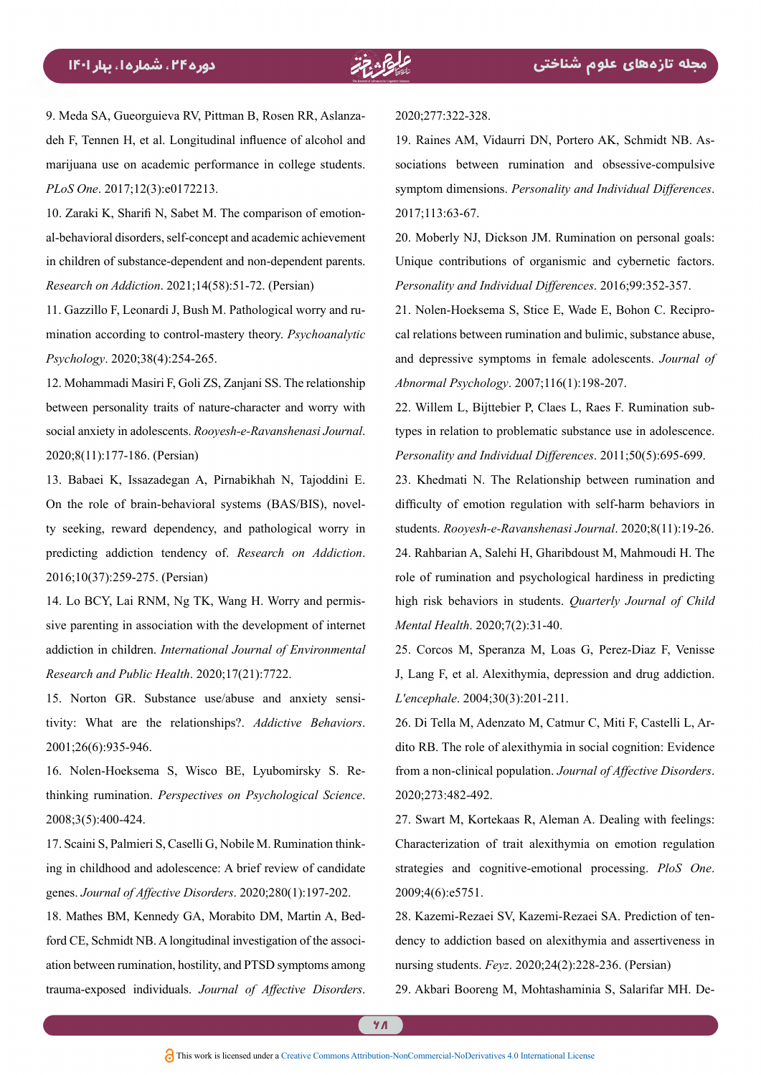<span id="page-12-0"></span>deh F, Tennen H, et al. Longitudinal influence of alcohol and 9. Meda SA, Gueorguieva RV, Pittman B, Rosen RR, Aslanzamarijuana use on academic performance in college students. PLoS One. 2017;12(3):e0172213.

<span id="page-12-10"></span>al-behavioral disorders, self-concept and academic achievement 10. Zaraki K, Sharifi N, Sabet M. The comparison of emotionin children of substance-dependent and non-dependent parents. *Research on Addiction.* 2021;14(58):51-72. (Persian)

<span id="page-12-1"></span>mination according to control-mastery theory. Psychoanalytic 11. Gazzillo F, Leonardi J, Bush M. Pathological worry and ru-Psychology. 2020;38(4):254-265.

<span id="page-12-11"></span>12. Mohammadi Masiri F, Goli ZS, Zanjani SS. The relationship between personality traits of nature-character and worry with social anxiety in adolescents. Rooyesh-e-Ravanshenasi Journal. 2020:8(11):177-186. (Persian)

<span id="page-12-2"></span>13. Babaei K, Issazadegan A, Pirnabikhah N, Tajoddini E. ty seeking, reward dependency, and pathological worry in On the role of brain-behavioral systems (BAS/BIS), novelpredicting addiction tendency of Research on Addiction. 2016;10(37):259-275. (Persian)

<span id="page-12-3"></span>sive parenting in association with the development of internet 14. Lo BCY, Lai RNM, Ng TK, Wang H. Worry and permisaddiction in children. *International Journal of Environmental* Research and Public Health. 2020;17(21):7722.

<span id="page-12-12"></span>tivity: What are the relationships?. Addictive Behaviors. 15. Norton GR. Substance use/abuse and anxiety sensi-2001;26(6):935-946.

<span id="page-12-13"></span>thinking rumination. *Perspectives* on Psychological Science. 16. Nolen-Hoeksema S, Wisco BE, Lyubomirsky S. Re-2008;3(5):400-424.

<span id="page-12-14"></span>ing in childhood and adolescence: A brief review of candidate 17. Scaini S, Palmieri S, Caselli G, Nobile M. Rumination thinkgenes. Journal of Affective Disorders. 2020;280(1):197-202.

<span id="page-12-4"></span>ation between rumination, hostility, and PTSD symptoms among ford CE, Schmidt NB. A longitudinal investigation of the associ-18. Mathes BM, Kennedy GA, Morabito DM, Martin A, Bedtrauma-exposed individuals. Journal of Affective Disorders.

2020;277:322-328.

<span id="page-12-5"></span>sociations between rumination and obsessive-compulsive 19. Raines AM, Vidaurri DN, Portero AK, Schmidt NB. Assymptom dimensions. Personality and Individual Differences. 2017;113:63-67.

<span id="page-12-15"></span>20. Moberly NJ, Dickson JM. Rumination on personal goals: Unique contributions of organismic and cybernetic factors. Personality and Individual Differences. 2016;99:352-357.

<span id="page-12-16"></span>cal relations between rumination and bulimic, substance abuse, 21. Nolen-Hoeksema S, Stice E, Wade E, Bohon C. Reciproand depressive symptoms in female adolescents. Journal of Abnormal Psychology. 2007;116(1):198-207.

<span id="page-12-9"></span>types in relation to problematic substance use in adolescence. 22. Willem L, Bijttebier P, Claes L, Raes F. Rumination sub-Personality and Individual Differences. 2011:50(5):695-699.

<span id="page-12-7"></span><span id="page-12-6"></span>23. Khedmati N. The Relationship between rumination and difficulty of emotion regulation with self-harm behaviors in students. Rooyesh-e-Ravanshenasi Journal. 2020;8(11):19-26. 24. Rahbarian A, Salehi H, Gharibdoust M, Mahmoudi H. The role of rumination and psychological hardiness in predicting high risk behaviors in students. *Quarterly Journal of Child* Mental Health. 2020;7(2):31-40.

<span id="page-12-8"></span>25. Corcos M, Speranza M, Loas G, Perez-Diaz F, Venisse J, Lang F, et al. Alexithymia, depression and drug addiction. L'encephale. 2004;30(3):201-211.

<span id="page-12-17"></span>dito RB. The role of alexithymia in social cognition: Evidence 26. Di Tella M, Adenzato M, Catmur C, Miti F, Castelli L, Arfrom a non-clinical population. Journal of Affective Disorders. 2020:273:482-492.

<span id="page-12-18"></span>27. Swart M, Kortekaas R, Aleman A. Dealing with feelings: Characterization of trait alexithymia on emotion regulation strategies and cognitive-emotional processing. PloS One. 2009;4(6):e5751.

<span id="page-12-19"></span>dency to addiction based on alexithymia and assertiveness in 28. Kazemi-Rezaei SV, Kazemi-Rezaei SA. Prediction of tennursing students. Feyz. 2020;24(2):228-236. (Persian)

<span id="page-12-20"></span>29. Akbari Booreng M, Mohtashaminia S, Salarifar MH. De-